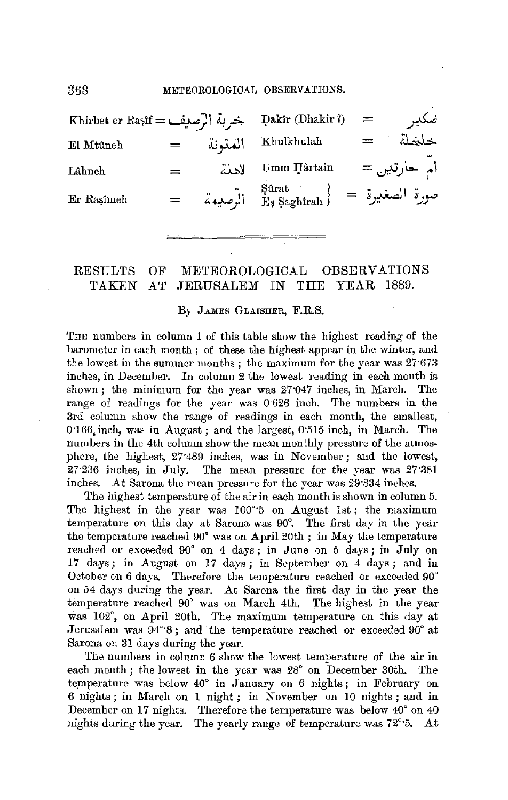| Rhirbet er Rasif = خربة الرّصيف = Dakir (Dhakir ?) |         |         |                                                                                                                                                                                                                                                       | $=$ | ضكير        |
|----------------------------------------------------|---------|---------|-------------------------------------------------------------------------------------------------------------------------------------------------------------------------------------------------------------------------------------------------------|-----|-------------|
| El Mtûneh                                          | $=$     | المتمنة | Khulkhulah                                                                                                                                                                                                                                            | $=$ | خلخلة       |
| Lâhneh                                             | $=$ $-$ | لاهنة   | Umm Hârtain                                                                                                                                                                                                                                           |     | ام حارتين = |
| Er Rasimeh                                         |         |         | $\left\{ \begin{array}{lcl} \mathrm{S\acute{u}rat} & \mathrm{E}\mathrm{S\acute{a}} \mathrm{gahirah} \end{array} \right\} \hspace{.2cm} = \hspace{.2cm} \left\{ \begin{array}{lcl} \mathrm{L\acute{u}sl} & \mathrm{L\acute{u}sl} \end{array} \right\}$ |     |             |

## RESULTS OF METEOROLOGICAL OBSERVATIONS 'l'AKEN AT JERUSALEM *IN* THE YEAR 1889.

## By JAMES GLAISHER, F.R.S.

THE numbers in column 1 of this table show the highest reading of the barometer in each month ; of these the highest appear in the winter, and the lowest in the summer months; the maximum for the year was 27'673 inches, in December. In column 2 the lowest reading in each month is shown; the minimum for the year was 27·047 inches, in March. The range of readings for the year was 0.626 inch. The numbers in the 3rd column show the range of readings in each month, the smallest, 0·166,inch, was in August; and the largest, 0·515 inch, in March. The numbers in the 4th column show the mean monthly pressure of the atmosphere, the highest, 27·489 inches, was in November; and the lowest, 27·236 inches, in July. The mean pressure for the year was 27·381 inches. At Sarona the mean pressure for the year was 29°834 inches.

The highest temperature of the air in each month is shown in column 5. The highest in the year was 100°<sup>-5</sup> on August 1st; the maximum temperature on this day at Sarona was 90°. The first day in the year the temperature reached 90° was on April 20th; in May the temperature reached or exceeded 90° on 4 days; in June on 5 days; in July on 17 days; in August on 17 days ; in September on 4 days ; and in October on 6 days. Therefore the temperature reached or exceeded 90° on 54 days during the year. At Sarona the first day in the year the temperature reached 90° was on March 4th. The highest in the year was 102°, on April 20th, The maximum temperature on this day at Jerusalem was 94°·8; and the temperature reached or exceeded 90° at Sarona on 31 days during the year.

The numbers in column 6 show the lowest temperature of the air in each month; the lowest in the year was 28° on December 30th. The temperature was below 40° in January on 6 nights; in February on 6 nights; in March on 1 night ; in November on 10 nights ; and in December on 17 nights. Therefore the temperature was below 40° on 40 nights during the year. The yearly range of temperature was 72°·5. At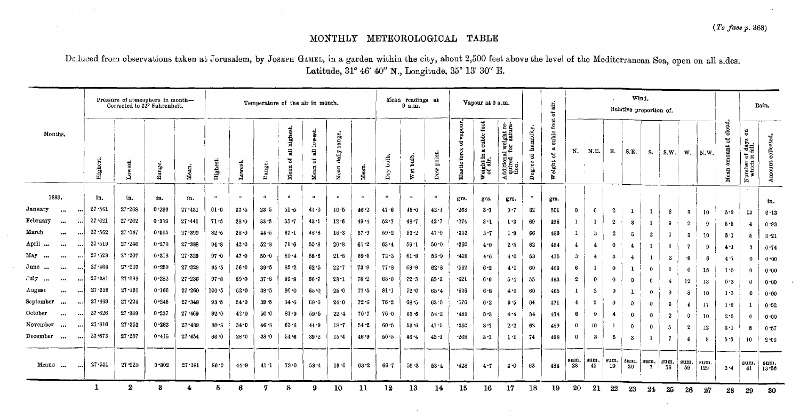$\sim$ 

## MONTHLY METEOROLOGICAL TABLE

De luced from observations taken at Jerusalem, by Jossen GAMEL, in a garden within the city, about 2,500 feet above the level of the Mediterranean Sea, open on all sides. Latitude, 31° 46' 40" N., Longitude, 35° 13' 30" E.

| Pressure of atmosphere in month-<br>Corrected to 32° Fahrenheit. |                    |              |         |            | n all<br>Temperature of the air in month. |          |                 |                                                    |                               |                         |          | Mean readings at<br>9 a.m. |              |                        | Vapour at 9 a.m.                 |                                                          |                                                           |                                  | $\dot{\rm a}$<br>2                       | Wind.<br>Relative proportion of. |                |                         |                |              |                |                  |               |                          |                                                              | Rain.               |
|------------------------------------------------------------------|--------------------|--------------|---------|------------|-------------------------------------------|----------|-----------------|----------------------------------------------------|-------------------------------|-------------------------|----------|----------------------------|--------------|------------------------|----------------------------------|----------------------------------------------------------|-----------------------------------------------------------|----------------------------------|------------------------------------------|----------------------------------|----------------|-------------------------|----------------|--------------|----------------|------------------|---------------|--------------------------|--------------------------------------------------------------|---------------------|
| Months.                                                          | High               | द्र          | Range.  | Mean       | Highest                                   | Lowest.  | Range.          | highest.<br>$\overline{\overline{a}}$<br>g<br>Mean | lowest.<br>급<br>៊ី<br>$M$ can | range.<br>dadly<br>Mean | меад.    | $\frac{1}{2}$<br>Þгу       | bulb.<br>Wet | point.<br>$_{\rm Dev}$ | rapour<br>ซื<br>force<br>Elastic | $_{\rm{foot}}$<br>cubic i<br>a)<br>Weight in:<br>of air. | Additional weight require-<br>quired for satura-<br>tion. | humidity<br>$\rm ^{4}$<br>Degree | foot<br>cubic.<br>ದ<br>5<br>eight<br>is. | N.                               | N.E.           | Е.                      | S.E.           | S.           | <b>S.W.</b>    |                  | $W.$   $N.W.$ | cloud<br>범<br>ديد<br>Mea | g<br>days<br>fell.<br>$\overline{5}$<br>umber<br>which<br>Ż. | collected.<br>mount |
| 1889.                                                            | in.                | in,          | in.     | in.        | $\circ$                                   | $\circ$  | $\Omega$        | $\bullet$                                          | $\bullet$                     | $\circ$                 | $\circ$  | $\circ$                    | $\circ$      | $\bullet$              | grs.                             | grs.                                                     | grs.                                                      | $\circ$                          | grs.                                     |                                  |                |                         |                |              |                |                  |               |                          |                                                              |                     |
| January<br>$\cdots$                                              | 27.561<br>$\cdots$ | $27 - 268$   | 0.293   | 27 - 431   | $61 - 0$                                  | 37.5     | $23 - 5$        | $51 - 5$                                           | $41 - 0$                      | 10.5                    | 46.2     | 47.6                       | $45 - 0$     | $42 - 1$               | $-268$                           | $3 - 1$                                                  | 0.7                                                       | 82                               | 501                                      | $\mathbf 0$                      | 6              | $\overline{2}$          |                |              | -8             | -3               | 10            | $5 - 9$                  | 13                                                           | in.<br>6.13         |
| February<br>$\bullet\bullet\bullet$<br>                          | $27 - 621$         | $27 - 262$   | 0.359   | $27 - 441$ | 71:5                                      | 38.0     | 33.5            | $55 - 7$                                           | 43.1                          | $12 - 6$                | 49.4     | $52 - 7$                   | $48 - 7$     | $42 - 7$               | $-274$                           | $3 - 1$                                                  | 1.3                                                       | 69                               | 496                                      |                                  |                | -2                      | 3              |              | 9              | $\overline{2}$   | 9             | 5.5                      | $\ddot{\bullet}$                                             | 0.83                |
| March<br>$\cdots$<br>$\cdots$                                    | $27 - 562$         | 27.047       | 0.515   | 27.399     | $82 - 5$                                  | $38 - 0$ | $44 - 5$        | 67.1                                               | $48 - 8$                      | 18.3                    | $57 - 9$ | 59.2                       | 53.2         | $47 - 9$               | $-333$                           | $3 - 7$                                                  | $1 - 9$                                                   | 66                               | 489                                      | $\mathbf I$                      | -3             | $\bf{2}$                | S.             | $\mathbf{2}$ | $\overline{1}$ | -3               | 10            | 5.1                      | 5                                                            | $3 - 21$            |
| April<br><br>$\ddotsc$                                           | 27.519             | $27 - 246$   | 0.273   | $27 - 388$ | 94.8                                      | 42.0     | 52.8            | 71.6                                               | 50.8                          | 20.8                    | 61.2     | $63 - 4$                   | $56 - 1$     | 50.0                   | $+360$                           | 4.0                                                      | $2 - 5$                                                   | 62                               | 484                                      | $\overline{4}$                   | $\overline{4}$ | 0                       | 4              |              | -1             | -7               | 9             | 4.1                      | -3                                                           | 0.74                |
| May<br>$\cdots$<br><br>$\cdots$                                  | 27.523             | 27.207       | 0.316   | 27 329     | $97 - 0$                                  | $47 - 0$ | 50.0            | 80.4                                               | 58.6                          | 21.8                    | 69.5     | 72.3                       | $61 - 8$     | 53.9                   | .418                             | 4.6                                                      | 4.0                                                       | 53                               | 475                                      | 3                                | 4              | 3                       | $\overline{4}$ |              | $\mathbf{z}$   | $\cdot$ 8        | 6             | $4 - 7$                  | $\theta$                                                     | 0.00                |
| June<br>$\cdots$<br>$\ddotsc$                                    | $27 - 466$         | $27 - 207$   | 0.259   | $27 - 329$ | 95.5                                      | 56.0     | 39.5            | $85 - 2$                                           | 62.5                          | $22 - 7$                | 73.9     | 77.8                       | 68.9         | 62.8                   | $-562$                           | $6 - 2$                                                  | 4.1                                                       | 60                               | 469                                      | 6                                |                | 0                       |                | $\mathbf{0}$ |                | 6                | 15            | 1.5                      | $\Omega$                                                     | 0.00                |
| July<br><br>$\ddot{\phantom{a}}$                                 | $27 - 381$         | $27 - 099$   | 0.282   | 27.236     | 97.8                                      | 60.0     | $37 - 8$        | 89.8                                               | $66 - 7$                      | $23 - 1$                | 78.2     | $83 - 0$                   | 72.3         | $65 - 2$               | $-621$                           | 6.6                                                      | 54                                                        | 55                               | 463                                      | $\boldsymbol{2}$                 | 0              | $\Omega$                | 0              | $\mathbf 0$  | $\overline{4}$ | 12               | 13            | 0.2                      | $\Omega$                                                     | 0.00                |
| August<br>$\cdots$<br>$\ddotsc$                                  | 27 356             | $27 - 190$   | 0.166   | 27.260     | $100 - 5$                                 | 62.0     | $38 - 5$        | $90 - 0$                                           | $65 - 0$                      | $25 - 0$                | 77.5     | 81.1                       | $72 - 0$     | 65.4                   | $+636$                           | 6.8                                                      | $4 - 6$                                                   | 60                               | 465                                      |                                  | 2              | $\mathbf 0$             |                | $\mathbf 0$  | 9              | 8                | 10            | 13                       | 0                                                            | 0.00                |
| September<br>$\cdots$<br>اموق                                    | $27 - 469$         | $27 - 224$   | 0.245   | $27 - 348$ | $93 - 5$                                  | 54.0     | $39 - 5$        | 84.6                                               | 60.6                          | 24.0                    | 72.6     | $76 - 2$                   | $68 - 5$     | $63 - 0$               | $-576$                           | $6 - 2$                                                  | $3 - 5$                                                   | 64                               | 471                                      | $\overline{4}$                   | $\mathbf{2}$   | $\bf{0}$                | $\Omega$       | $\mathbf 0$  | -3             | $\mathbf{1}$     | 17            | 1.6                      | 1                                                            | 0.02                |
| October<br>$\cdots$<br>$\cdots$                                  | $27 - 626$         | 27 389       | 0.237   | $27 - 469$ | $92 - 0$                                  | 42.0     | 50.0            | $81 - 9$                                           | 59.5                          | $22 - 4$                | $70 - 7$ | 76.0                       | $65 - 6$     | 58.2                   | $*485$                           | $5 - 3$                                                  | 4.4                                                       | 54                               | 474                                      | 6                                | 9              | $\overline{\mathbf{4}}$ | $\mathbf{0}$   | $\mathbf{0}$ | $\overline{2}$ | 0                | 10            | 2.5                      | $\mathbf{0}$                                                 | 0.00                |
| November<br>$\cdots$                                             | $27 - 616$         | $27 - 353$   | 0.263   | $27 - 489$ | $80 - 8$                                  | 34.0     | 46.8            | $63 - 6$                                           | 44.9                          | $18 - 7$                | 54.2     | $60 - 5$                   | $53 - 6$     | 47.5                   | .330                             | $3 - 7$                                                  | 2.2                                                       | 62                               | 489                                      | 0                                | 10             |                         | $\mathbf 0$    | $\mathbf 0$  | 5              | $\boldsymbol{2}$ | 12            | $3 - 1$                  | -5                                                           | 0.57                |
| December<br>$\cdots$<br>$\cdots$                                 | $27 - 673$         | $27 - 257$   | 0.416   | $27 - 454$ | $66 - 0$                                  | $28 - 0$ | $38 - 0$        | 54.6                                               | $39 - 2$                      | 15.4                    | 46.9     | 50.5                       | 46.4         | $42 - 1$               | $-268$                           | 3.1                                                      | $1^{\prime}1$                                             | 74                               | 498                                      | $\mathbf{0}$                     | -3             | -5                      | 3              |              | -7             | 4                | 8             | 5.5                      | 10                                                           | $2 - 06$            |
| Means                                                            | $27 - 531$         | 27:229       | $0*302$ | 27.381     | $86 - 0$                                  | 44.9     | 41 <sup>1</sup> | $73 - 0$                                           | $53 - 4$                      | $19 - 6$                | $63 - 2$ | $66 - 7$                   | 59.3         | $53 - 4$               | -428                             | 4.7                                                      | $3 - 0$                                                   | 63                               | 484                                      | sum.<br>28                       | sum.<br>45     | sum.<br>19              | sum.<br>20     | sum,<br>-7.  | sum.<br>58     | sum.<br>59       | sum<br>129    | 3.4                      | sum.<br>41                                                   | sum.<br>13.56       |
|                                                                  |                    | $\mathbf{z}$ | З       | 4          | 5                                         | 6        | 7               | 8                                                  | 9                             | 10                      | 11       | 12                         | 13           | 14                     | 15                               | 16                                                       | 17                                                        | 18                               | 19                                       | 20                               | 21             | 22                      | 23             | 24           | 25             | 26               | 27            | 28                       | 29                                                           | 30                  |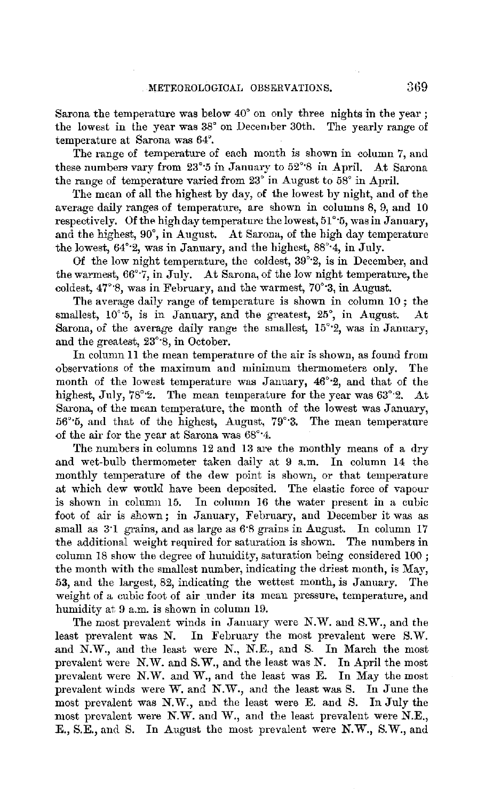Sarona the temperature was below 40° on only three nights in the year ; the lowest in the year was 38° on Decernber 30th. The yearly range of temperature at Sarona was 64°.

The range of temperature of each month is shown in column 7, and these numbers vary from 23°·5 in January to 52°·8 in April. At Barona the range of temperature varied from 23° in August to 58° in April.

The mean of all the highest by day, of the lowest by night, and of the average daily ranges of temperature, are shown in columns 8, 9, and 10 respectively. Of the high day temperature the lowest, 51°·5, was in January, and the highest, 90°, in August. At Barona, of the high day temperature the lowest,  $64^{\circ}$ ?, was in January, and the highest,  $88^{\circ}$ <sup>4</sup>, in July.

Of the low night temperature, the coldest, 39°·2, is in December, and the warmest, 66°·7, in July. At Sarona, of the low night temperature, the coldest,  $47^{\circ}$ %, was in February, and the warmest,  $70^{\circ}$ 3, in August.

The average daily range of temperature is shown in column 10 ; the smallest,  $10^{\circ}$ 5, is in January, and the greatest, 25°, in August. At Sarona, of the average daily range the smallest, 15°·2, was in January, and the greatest, 23°·8, in October.

In column 11 the mean temperature of the air is shown, as found from observations of the maximum and minimum thermometers only. The month of the lowest temperature was January, 46°·2, and that of the highest, July, 78°2. The mean temperature for the year was  $63^{\circ}$ 2. At Barona, of the mean temperature, the month of the lowest was January, 56°·5, and that of the highest, August, 79°·3. The mean temperature of the air for the year at Sarona was 68°·4.

The numbers in columns 12 and 13 are the monthly means of a dry and wet-bulb thermometer taken daily at 9 a.m. In column 14 the monthly temperature of the dew point is shown, or that temperature at which dew would have been deposited. The elastic force of vapour is shown in column 15. In column 16 the water present in a cubic foot of air is shown; in January, February, and December it was as small as 3.1 grains, and as large as 6.8 grains in August. In column 17 the additional weight required for saturation is shown. The numbers in column 18 show the degree of humidity, saturation being considered 100 ; the month with the smallest number, indicating the driest month, is May, 53, and the largest, 82, indicating the wettest month, is January. The weight of a cubic foot of air under its mean pressure, temperature, and humidity at 9 a.m. is shown in column 19.

The most prevalent winds in January were N.W. and S.W., and the least prevalent was N. In February the most prevalent were S.W. and N.W., and the least were N., N.E., and S. In March the most prevalent were N.W. and B.W., and the least was N. In April the most prevalent were N.W. and W., and the least was E. In May the most prevalent winds were W. and N.W., and the least was S. In June the most prevalent was N.W., and the least were E. and S. In July the most prevalent were N.W. and W., and the least prevalent were N.E., E., B.E., and B. In August the most prevalent were N.W., S.W., and